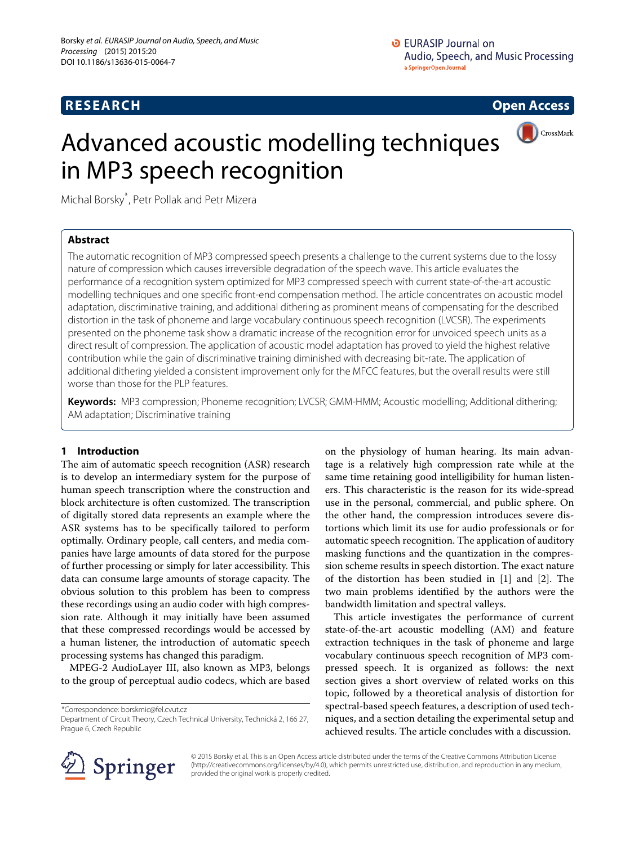## **RESEARCH Open Access**



# Advanced acoustic modelling techniques in MP3 speech recognition

Michal Borsky\* , Petr Pollak and Petr Mizera

## **Abstract**

The automatic recognition of MP3 compressed speech presents a challenge to the current systems due to the lossy nature of compression which causes irreversible degradation of the speech wave. This article evaluates the performance of a recognition system optimized for MP3 compressed speech with current state-of-the-art acoustic modelling techniques and one specific front-end compensation method. The article concentrates on acoustic model adaptation, discriminative training, and additional dithering as prominent means of compensating for the described distortion in the task of phoneme and large vocabulary continuous speech recognition (LVCSR). The experiments presented on the phoneme task show a dramatic increase of the recognition error for unvoiced speech units as a direct result of compression. The application of acoustic model adaptation has proved to yield the highest relative contribution while the gain of discriminative training diminished with decreasing bit-rate. The application of additional dithering yielded a consistent improvement only for the MFCC features, but the overall results were still worse than those for the PLP features.

**Keywords:** MP3 compression; Phoneme recognition; LVCSR; GMM-HMM; Acoustic modelling; Additional dithering; AM adaptation; Discriminative training

### **1 Introduction**

The aim of automatic speech recognition (ASR) research is to develop an intermediary system for the purpose of human speech transcription where the construction and block architecture is often customized. The transcription of digitally stored data represents an example where the ASR systems has to be specifically tailored to perform optimally. Ordinary people, call centers, and media companies have large amounts of data stored for the purpose of further processing or simply for later accessibility. This data can consume large amounts of storage capacity. The obvious solution to this problem has been to compress these recordings using an audio coder with high compression rate. Although it may initially have been assumed that these compressed recordings would be accessed by a human listener, the introduction of automatic speech processing systems has changed this paradigm.

MPEG-2 AudioLayer III, also known as MP3, belongs to the group of perceptual audio codecs, which are based

\*Correspondence: [borskmic@fel.cvut.cz](mailto: borskmic@fel.cvut.cz)

on the physiology of human hearing. Its main advantage is a relatively high compression rate while at the same time retaining good intelligibility for human listeners. This characteristic is the reason for its wide-spread use in the personal, commercial, and public sphere. On the other hand, the compression introduces severe distortions which limit its use for audio professionals or for automatic speech recognition. The application of auditory masking functions and the quantization in the compression scheme results in speech distortion. The exact nature of the distortion has been studied in [\[1\]](#page-6-0) and [\[2\]](#page-6-1). The two main problems identified by the authors were the bandwidth limitation and spectral valleys.

This article investigates the performance of current state-of-the-art acoustic modelling (AM) and feature extraction techniques in the task of phoneme and large vocabulary continuous speech recognition of MP3 compressed speech. It is organized as follows: the next section gives a short overview of related works on this topic, followed by a theoretical analysis of distortion for spectral-based speech features, a description of used techniques, and a section detailing the experimental setup and achieved results. The article concludes with a discussion.



© 2015 Borsky et al. This is an Open Access article distributed under the terms of the Creative Commons Attribution License [\(http://creativecommons.org/licenses/by/4.0\)](http://creativecommons.org/licenses/by/4.0), which permits unrestricted use, distribution, and reproduction in any medium, provided the original work is properly credited.

Department of Circuit Theory, Czech Technical University, Technická 2, 166 27, Prague 6, Czech Republic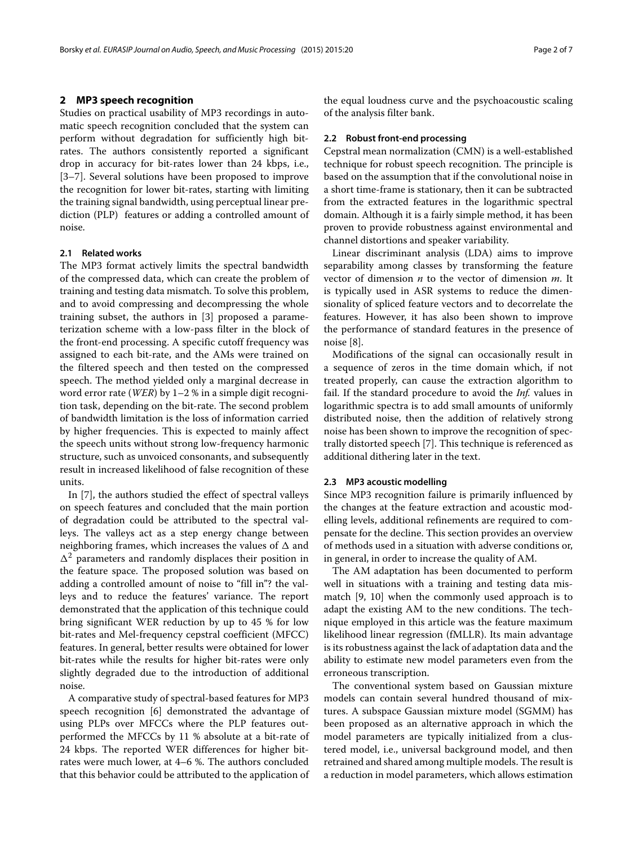#### **2 MP3 speech recognition**

Studies on practical usability of MP3 recordings in automatic speech recognition concluded that the system can perform without degradation for sufficiently high bitrates. The authors consistently reported a significant drop in accuracy for bit-rates lower than 24 kbps, i.e., [\[3](#page-6-2)[–7\]](#page-6-3). Several solutions have been proposed to improve the recognition for lower bit-rates, starting with limiting the training signal bandwidth, using perceptual linear prediction (PLP) features or adding a controlled amount of noise.

#### **2.1 Related works**

The MP3 format actively limits the spectral bandwidth of the compressed data, which can create the problem of training and testing data mismatch. To solve this problem, and to avoid compressing and decompressing the whole training subset, the authors in [\[3\]](#page-6-2) proposed a parameterization scheme with a low-pass filter in the block of the front-end processing. A specific cutoff frequency was assigned to each bit-rate, and the AMs were trained on the filtered speech and then tested on the compressed speech. The method yielded only a marginal decrease in word error rate (*WER*) by 1–2 % in a simple digit recognition task, depending on the bit-rate. The second problem of bandwidth limitation is the loss of information carried by higher frequencies. This is expected to mainly affect the speech units without strong low-frequency harmonic structure, such as unvoiced consonants, and subsequently result in increased likelihood of false recognition of these units.

In [\[7\]](#page-6-3), the authors studied the effect of spectral valleys on speech features and concluded that the main portion of degradation could be attributed to the spectral valleys. The valleys act as a step energy change between neighboring frames, which increases the values of  $\Delta$  and  $\Delta^2$  parameters and randomly displaces their position in the feature space. The proposed solution was based on adding a controlled amount of noise to "fill in"? the valleys and to reduce the features' variance. The report demonstrated that the application of this technique could bring significant WER reduction by up to 45 % for low bit-rates and Mel-frequency cepstral coefficient (MFCC) features. In general, better results were obtained for lower bit-rates while the results for higher bit-rates were only slightly degraded due to the introduction of additional noise.

A comparative study of spectral-based features for MP3 speech recognition [\[6\]](#page-6-4) demonstrated the advantage of using PLPs over MFCCs where the PLP features outperformed the MFCCs by 11 % absolute at a bit-rate of 24 kbps. The reported WER differences for higher bitrates were much lower, at 4–6 %. The authors concluded that this behavior could be attributed to the application of the equal loudness curve and the psychoacoustic scaling of the analysis filter bank.

#### **2.2 Robust front-end processing**

Cepstral mean normalization (CMN) is a well-established technique for robust speech recognition. The principle is based on the assumption that if the convolutional noise in a short time-frame is stationary, then it can be subtracted from the extracted features in the logarithmic spectral domain. Although it is a fairly simple method, it has been proven to provide robustness against environmental and channel distortions and speaker variability.

Linear discriminant analysis (LDA) aims to improve separability among classes by transforming the feature vector of dimension *n* to the vector of dimension *m*. It is typically used in ASR systems to reduce the dimensionality of spliced feature vectors and to decorrelate the features. However, it has also been shown to improve the performance of standard features in the presence of noise [\[8\]](#page-6-5).

Modifications of the signal can occasionally result in a sequence of zeros in the time domain which, if not treated properly, can cause the extraction algorithm to fail. If the standard procedure to avoid the *Inf.* values in logarithmic spectra is to add small amounts of uniformly distributed noise, then the addition of relatively strong noise has been shown to improve the recognition of spectrally distorted speech [\[7\]](#page-6-3). This technique is referenced as additional dithering later in the text.

#### **2.3 MP3 acoustic modelling**

Since MP3 recognition failure is primarily influenced by the changes at the feature extraction and acoustic modelling levels, additional refinements are required to compensate for the decline. This section provides an overview of methods used in a situation with adverse conditions or, in general, in order to increase the quality of AM.

The AM adaptation has been documented to perform well in situations with a training and testing data mismatch [\[9,](#page-6-6) [10\]](#page-6-7) when the commonly used approach is to adapt the existing AM to the new conditions. The technique employed in this article was the feature maximum likelihood linear regression (fMLLR). Its main advantage is its robustness against the lack of adaptation data and the ability to estimate new model parameters even from the erroneous transcription.

The conventional system based on Gaussian mixture models can contain several hundred thousand of mixtures. A subspace Gaussian mixture model (SGMM) has been proposed as an alternative approach in which the model parameters are typically initialized from a clustered model, i.e., universal background model, and then retrained and shared among multiple models. The result is a reduction in model parameters, which allows estimation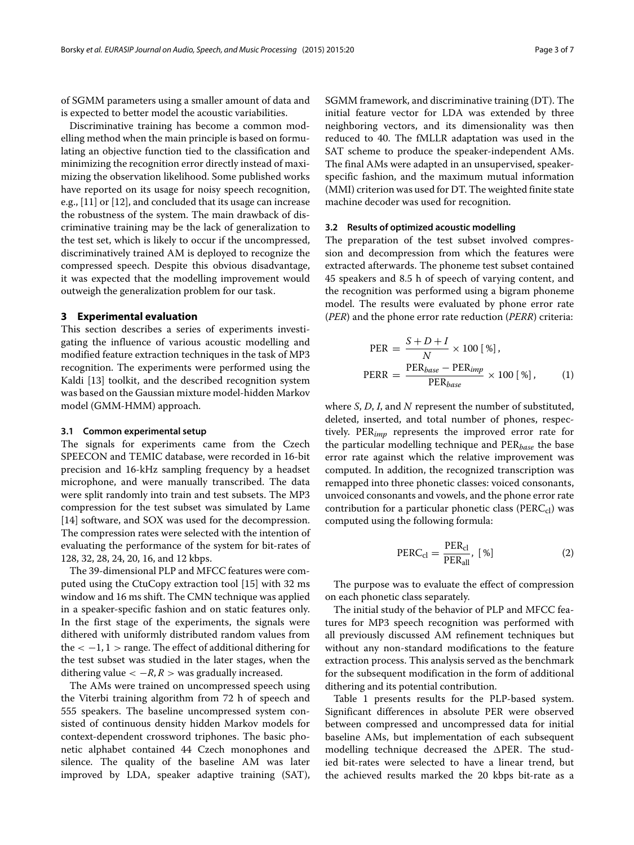of SGMM parameters using a smaller amount of data and is expected to better model the acoustic variabilities.

Discriminative training has become a common modelling method when the main principle is based on formulating an objective function tied to the classification and minimizing the recognition error directly instead of maximizing the observation likelihood. Some published works have reported on its usage for noisy speech recognition, e.g., [\[11\]](#page-6-8) or [\[12\]](#page-6-9), and concluded that its usage can increase the robustness of the system. The main drawback of discriminative training may be the lack of generalization to the test set, which is likely to occur if the uncompressed, discriminatively trained AM is deployed to recognize the compressed speech. Despite this obvious disadvantage, it was expected that the modelling improvement would outweigh the generalization problem for our task.

#### <span id="page-2-0"></span>**3 Experimental evaluation**

This section describes a series of experiments investigating the influence of various acoustic modelling and modified feature extraction techniques in the task of MP3 recognition. The experiments were performed using the Kaldi [\[13\]](#page-6-10) toolkit, and the described recognition system was based on the Gaussian mixture model-hidden Markov model (GMM-HMM) approach.

#### **3.1 Common experimental setup**

The signals for experiments came from the Czech SPEECON and TEMIC database, were recorded in 16-bit precision and 16-kHz sampling frequency by a headset microphone, and were manually transcribed. The data were split randomly into train and test subsets. The MP3 compression for the test subset was simulated by Lame [\[14\]](#page-6-11) software, and SOX was used for the decompression. The compression rates were selected with the intention of evaluating the performance of the system for bit-rates of 128, 32, 28, 24, 20, 16, and 12 kbps.

The 39-dimensional PLP and MFCC features were computed using the CtuCopy extraction tool [\[15\]](#page-6-12) with 32 ms window and 16 ms shift. The CMN technique was applied in a speaker-specific fashion and on static features only. In the first stage of the experiments, the signals were dithered with uniformly distributed random values from the  $<-1,1>$  range. The effect of additional dithering for the test subset was studied in the later stages, when the dithering value  $<-R$ ,  $R>$  was gradually increased.

The AMs were trained on uncompressed speech using the Viterbi training algorithm from 72 h of speech and 555 speakers. The baseline uncompressed system consisted of continuous density hidden Markov models for context-dependent crossword triphones. The basic phonetic alphabet contained 44 Czech monophones and silence. The quality of the baseline AM was later improved by LDA, speaker adaptive training (SAT), SGMM framework, and discriminative training (DT). The initial feature vector for LDA was extended by three neighboring vectors, and its dimensionality was then reduced to 40. The fMLLR adaptation was used in the SAT scheme to produce the speaker-independent AMs. The final AMs were adapted in an unsupervised, speakerspecific fashion, and the maximum mutual information (MMI) criterion was used for DT. The weighted finite state machine decoder was used for recognition.

#### **3.2 Results of optimized acoustic modelling**

The preparation of the test subset involved compression and decompression from which the features were extracted afterwards. The phoneme test subset contained 45 speakers and 8.5 h of speech of varying content, and the recognition was performed using a bigram phoneme model. The results were evaluated by phone error rate (*PER*) and the phone error rate reduction (*PERR*) criteria:

$$
PER = \frac{S + D + I}{N} \times 100 [\%],
$$
  
PERR = 
$$
\frac{PER_{base} - PER_{imp}}{PER_{base}} \times 100 [\%],
$$
 (1)

where *S*, *D*, *I*, and *N* represent the number of substituted, deleted, inserted, and total number of phones, respectively. PER*imp* represents the improved error rate for the particular modelling technique and PER*base* the base error rate against which the relative improvement was computed. In addition, the recognized transcription was remapped into three phonetic classes: voiced consonants, unvoiced consonants and vowels, and the phone error rate contribution for a particular phonetic class ( $PERC_{c1}$ ) was computed using the following formula:

$$
PERC_{cl} = \frac{PER_{cl}}{PER_{all}}, [%]
$$
 (2)

The purpose was to evaluate the effect of compression on each phonetic class separately.

The initial study of the behavior of PLP and MFCC features for MP3 speech recognition was performed with all previously discussed AM refinement techniques but without any non-standard modifications to the feature extraction process. This analysis served as the benchmark for the subsequent modification in the form of additional dithering and its potential contribution.

Table [1](#page-3-0) presents results for the PLP-based system. Significant differences in absolute PER were observed between compressed and uncompressed data for initial baseline AMs, but implementation of each subsequent modelling technique decreased the  $\triangle$ PER. The studied bit-rates were selected to have a linear trend, but the achieved results marked the 20 kbps bit-rate as a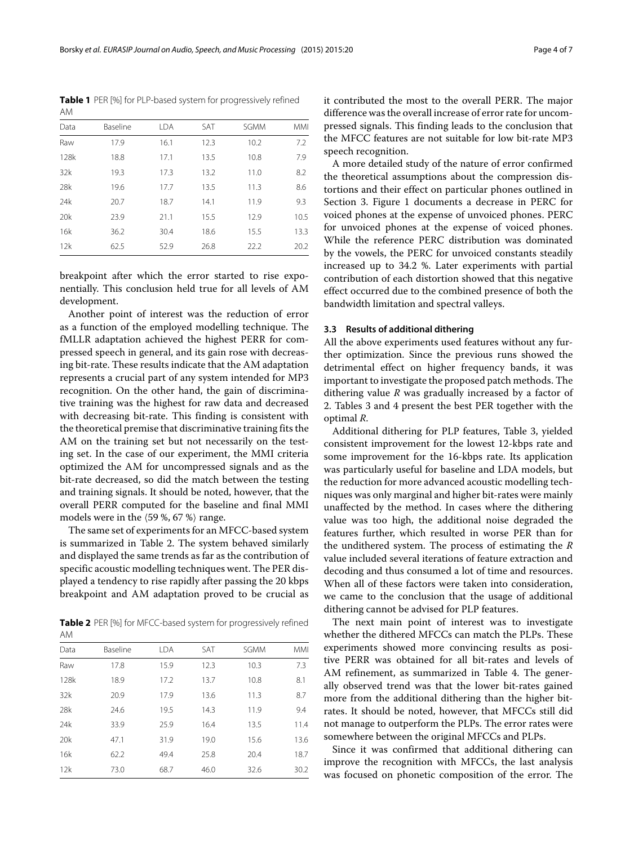Borsky *et al. EURASIP Journal on Audio, Speech, and Music Processing* (2015) 2015:20 Page 4 of 7

<span id="page-3-0"></span>**Table 1** PER [%] for PLP-based system for progressively refined AM

| Data | Baseline | <b>LDA</b> | SAT  | <b>SGMM</b> | <b>MMI</b> |
|------|----------|------------|------|-------------|------------|
| Raw  | 17.9     | 16.1       | 12.3 | 10.2        | 7.2        |
| 128k | 18.8     | 17.1       | 13.5 | 10.8        | 7.9        |
| 32k  | 19.3     | 17.3       | 13.2 | 11.0        | 8.2        |
| 28k  | 19.6     | 17.7       | 13.5 | 11.3        | 8.6        |
| 24k  | 20.7     | 18.7       | 14.1 | 11.9        | 9.3        |
| 20k  | 23.9     | 21.1       | 15.5 | 12.9        | 10.5       |
| 16k  | 36.2     | 30.4       | 18.6 | 15.5        | 13.3       |
| 12k  | 62.5     | 52.9       | 26.8 | 22.2        | 20.2       |
|      |          |            |      |             |            |

breakpoint after which the error started to rise exponentially. This conclusion held true for all levels of AM development.

Another point of interest was the reduction of error as a function of the employed modelling technique. The fMLLR adaptation achieved the highest PERR for compressed speech in general, and its gain rose with decreasing bit-rate. These results indicate that the AM adaptation represents a crucial part of any system intended for MP3 recognition. On the other hand, the gain of discriminative training was the highest for raw data and decreased with decreasing bit-rate. This finding is consistent with the theoretical premise that discriminative training fits the AM on the training set but not necessarily on the testing set. In the case of our experiment, the MMI criteria optimized the AM for uncompressed signals and as the bit-rate decreased, so did the match between the testing and training signals. It should be noted, however, that the overall PERR computed for the baseline and final MMI models were in the  $\langle 59 \%, 67 \% \rangle$  range.

The same set of experiments for an MFCC-based system is summarized in Table [2.](#page-3-1) The system behaved similarly and displayed the same trends as far as the contribution of specific acoustic modelling techniques went. The PER displayed a tendency to rise rapidly after passing the 20 kbps breakpoint and AM adaptation proved to be crucial as

<span id="page-3-1"></span>**Table 2** PER [%] for MFCC-based system for progressively refined AM

| Data | Baseline | I DA | SAT  | SGMM | <b>MMI</b> |
|------|----------|------|------|------|------------|
| Raw  | 17.8     | 15.9 | 12.3 | 10.3 | 7.3        |
| 128k | 18.9     | 17.2 | 13.7 | 10.8 | 8.1        |
| 32k  | 20.9     | 17.9 | 13.6 | 11.3 | 8.7        |
| 28k  | 24.6     | 19.5 | 14.3 | 11.9 | 9.4        |
| 24k  | 33.9     | 25.9 | 16.4 | 13.5 | 11.4       |
| 20k  | 47.1     | 31.9 | 19.0 | 15.6 | 13.6       |
| 16k  | 62.2     | 49.4 | 25.8 | 20.4 | 18.7       |
| 12k  | 73.0     | 68.7 | 46.0 | 32.6 | 30.2       |

it contributed the most to the overall PERR. The major difference was the overall increase of error rate for uncompressed signals. This finding leads to the conclusion that the MFCC features are not suitable for low bit-rate MP3 speech recognition.

A more detailed study of the nature of error confirmed the theoretical assumptions about the compression distortions and their effect on particular phones outlined in Section [3.](#page-2-0) Figure [1](#page-4-0) documents a decrease in PERC for voiced phones at the expense of unvoiced phones. PERC for unvoiced phones at the expense of voiced phones. While the reference PERC distribution was dominated by the vowels, the PERC for unvoiced constants steadily increased up to 34.2 %. Later experiments with partial contribution of each distortion showed that this negative effect occurred due to the combined presence of both the bandwidth limitation and spectral valleys.

#### **3.3 Results of additional dithering**

All the above experiments used features without any further optimization. Since the previous runs showed the detrimental effect on higher frequency bands, it was important to investigate the proposed patch methods. The dithering value *R* was gradually increased by a factor of 2. Tables [3](#page-4-1) and [4](#page-4-2) present the best PER together with the optimal *R*.

Additional dithering for PLP features, Table [3,](#page-4-1) yielded consistent improvement for the lowest 12-kbps rate and some improvement for the 16-kbps rate. Its application was particularly useful for baseline and LDA models, but the reduction for more advanced acoustic modelling techniques was only marginal and higher bit-rates were mainly unaffected by the method. In cases where the dithering value was too high, the additional noise degraded the features further, which resulted in worse PER than for the undithered system. The process of estimating the *R* value included several iterations of feature extraction and decoding and thus consumed a lot of time and resources. When all of these factors were taken into consideration, we came to the conclusion that the usage of additional dithering cannot be advised for PLP features.

The next main point of interest was to investigate whether the dithered MFCCs can match the PLPs. These experiments showed more convincing results as positive PERR was obtained for all bit-rates and levels of AM refinement, as summarized in Table [4.](#page-4-2) The generally observed trend was that the lower bit-rates gained more from the additional dithering than the higher bitrates. It should be noted, however, that MFCCs still did not manage to outperform the PLPs. The error rates were somewhere between the original MFCCs and PLPs.

Since it was confirmed that additional dithering can improve the recognition with MFCCs, the last analysis was focused on phonetic composition of the error. The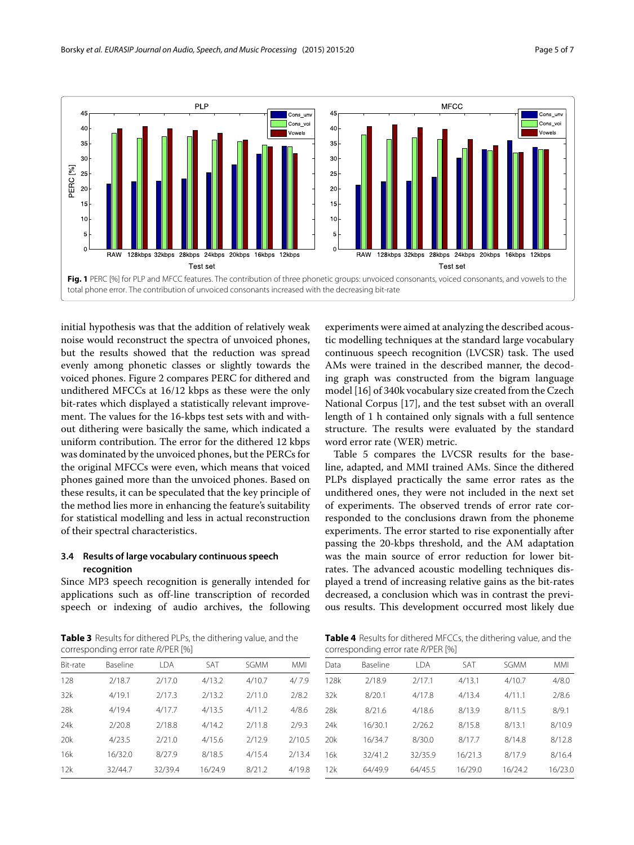

<span id="page-4-0"></span>initial hypothesis was that the addition of relatively weak noise would reconstruct the spectra of unvoiced phones, but the results showed that the reduction was spread evenly among phonetic classes or slightly towards the voiced phones. Figure [2](#page-5-0) compares PERC for dithered and undithered MFCCs at 16/12 kbps as these were the only bit-rates which displayed a statistically relevant improvement. The values for the 16-kbps test sets with and without dithering were basically the same, which indicated a uniform contribution. The error for the dithered 12 kbps was dominated by the unvoiced phones, but the PERCs for the original MFCCs were even, which means that voiced phones gained more than the unvoiced phones. Based on these results, it can be speculated that the key principle of the method lies more in enhancing the feature's suitability for statistical modelling and less in actual reconstruction of their spectral characteristics.

#### **3.4 Results of large vocabulary continuous speech recognition**

Since MP3 speech recognition is generally intended for applications such as off-line transcription of recorded speech or indexing of audio archives, the following

National Corpus [\[17\]](#page-6-14), and the test subset with an overall length of 1 h contained only signals with a full sentence structure. The results were evaluated by the standard word error rate (WER) metric. Table [5](#page-5-1) compares the LVCSR results for the baseline, adapted, and MMI trained AMs. Since the dithered

experiments were aimed at analyzing the described acoustic modelling techniques at the standard large vocabulary continuous speech recognition (LVCSR) task. The used AMs were trained in the described manner, the decoding graph was constructed from the bigram language model [\[16\]](#page-6-13) of 340k vocabulary size created from the Czech

PLPs displayed practically the same error rates as the undithered ones, they were not included in the next set of experiments. The observed trends of error rate corresponded to the conclusions drawn from the phoneme experiments. The error started to rise exponentially after passing the 20-kbps threshold, and the AM adaptation was the main source of error reduction for lower bitrates. The advanced acoustic modelling techniques displayed a trend of increasing relative gains as the bit-rates decreased, a conclusion which was in contrast the previous results. This development occurred most likely due

**Table 3** Results for dithered PLPs, the dithering value, and the corresponding error rate R/PER [%]

<span id="page-4-1"></span>

| COLLESPOTIONIY ENOT TALE N/ F.L.N. [70] |          |            |         |             |            |    |  |
|-----------------------------------------|----------|------------|---------|-------------|------------|----|--|
| Bit-rate                                | Baseline | <b>LDA</b> | SAT     | <b>SGMM</b> | <b>MMI</b> | Da |  |
| 128                                     | 2/18.7   | 2/17.0     | 4/13.2  | 4/10.7      | 4/7.9      | 12 |  |
| 32k                                     | 4/19.1   | 2/17.3     | 2/13.2  | 2/11.0      | 2/8.2      | 32 |  |
| 28k                                     | 4/19.4   | 4/17.7     | 4/13.5  | 4/11.2      | 4/8.6      | 28 |  |
| 24k                                     | 2/20.8   | 2/18.8     | 4/14.2  | 2/11.8      | 2/9.3      | 24 |  |
| 20k                                     | 4/23.5   | 2/21.0     | 4/15.6  | 2/12.9      | 2/10.5     | 20 |  |
| 16k                                     | 16/32.0  | 8/27.9     | 8/18.5  | 4/15.4      | 2/13.4     | 16 |  |
| 12k                                     | 32/44.7  | 32/39.4    | 16/24.9 | 8/21.2      | 4/19.8     | 12 |  |
|                                         |          |            |         |             |            |    |  |

<span id="page-4-2"></span>**Table 4** Results for dithered MFCCs, the dithering value, and the corresponding error rate R/PER [%]

|      | COTTCSPOTIONING CITOLIQUE N/T EN [70] |         |         |         |            |  |  |  |  |  |
|------|---------------------------------------|---------|---------|---------|------------|--|--|--|--|--|
| Data | Baseline                              | I DA    | SAT     | SGMM    | <b>MMI</b> |  |  |  |  |  |
| 128k | 2/18.9                                | 2/17.1  | 4/13.1  | 4/10.7  | 4/8.0      |  |  |  |  |  |
| 32k  | 8/20.1                                | 4/17.8  | 4/13.4  | 4/11.1  | 2/8.6      |  |  |  |  |  |
| 28k  | 8/21.6                                | 4/18.6  | 8/13.9  | 8/11.5  | 8/9.1      |  |  |  |  |  |
| 24k  | 16/30.1                               | 2/26.2  | 8/15.8  | 8/13.1  | 8/10.9     |  |  |  |  |  |
| 20k  | 16/34.7                               | 8/30.0  | 8/17.7  | 8/14.8  | 8/12.8     |  |  |  |  |  |
| 16k  | 32/41.2                               | 32/35.9 | 16/21.3 | 8/17.9  | 8/16.4     |  |  |  |  |  |
| 12k  | 64/49.9                               | 64/45.5 | 16/29.0 | 16/24.2 | 16/23.0    |  |  |  |  |  |
|      |                                       |         |         |         |            |  |  |  |  |  |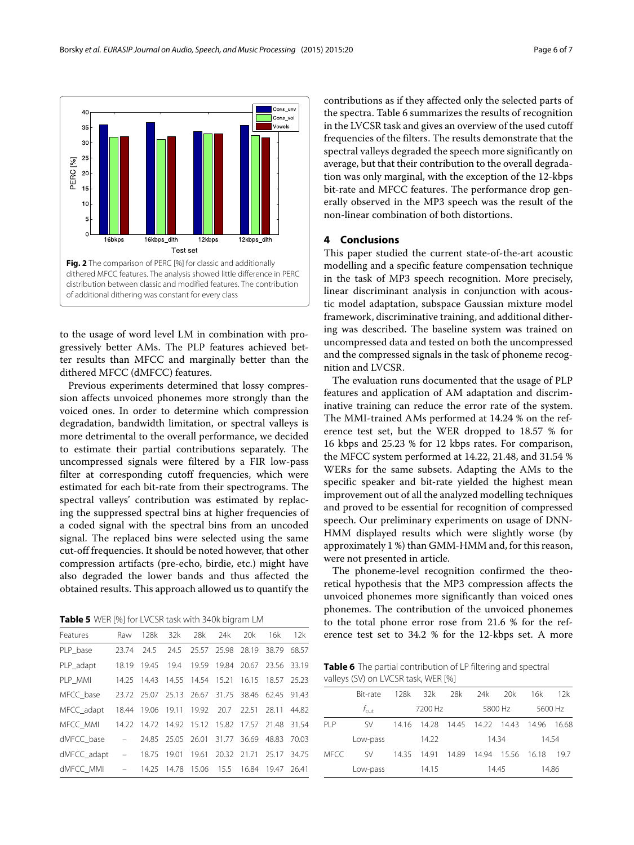<span id="page-5-0"></span>to the usage of word level LM in combination with progressively better AMs. The PLP features achieved better results than MFCC and marginally better than the dithered MFCC (dMFCC) features.

Previous experiments determined that lossy compression affects unvoiced phonemes more strongly than the voiced ones. In order to determine which compression degradation, bandwidth limitation, or spectral valleys is more detrimental to the overall performance, we decided to estimate their partial contributions separately. The uncompressed signals were filtered by a FIR low-pass filter at corresponding cutoff frequencies, which were estimated for each bit-rate from their spectrograms. The spectral valleys' contribution was estimated by replacing the suppressed spectral bins at higher frequencies of a coded signal with the spectral bins from an uncoded signal. The replaced bins were selected using the same cut-off frequencies. It should be noted however, that other compression artifacts (pre-echo, birdie, etc.) might have also degraded the lower bands and thus affected the obtained results. This approach allowed us to quantify the

**Table 5** WER [%] for LVCSR task with 340k bigram LM

<span id="page-5-1"></span>

| Features                                             |            | Raw 128k 32k 28k 24k 20k                        |  | 16k   | 12k   |
|------------------------------------------------------|------------|-------------------------------------------------|--|-------|-------|
| PLP_base                                             | 23.74 24.5 | 24.5 25.57 25.98 28.19                          |  | 38.79 | 68.57 |
| PLP adapt                                            |            | 18.19 19.45 19.4 19.59 19.84 20.67 23.56 33.19  |  |       |       |
| PLP MMI                                              |            | 14.25 14.43 14.55 14.54 15.21 16.15 18.57 25.23 |  |       |       |
| MFCC base                                            |            | 23.72 25.07 25.13 26.67 31.75 38.46 62.45 91.43 |  |       |       |
| MFCC adapt                                           |            | 18.44 19.06 19.11 19.92 20.7 22.51 28.11 44.82  |  |       |       |
| MFCC MMI                                             |            | 14.22 14.72 14.92 15.12 15.82 17.57 21.48 31.54 |  |       |       |
| dMFCC base = 24.85 25.05 26.01 31.77 36.69           |            |                                                 |  | 48.83 | 70.03 |
| $dMFCC\_adapt$ $-$                                   |            | 18.75 19.01 19.61 20.32 21.71 25.17 34.75       |  |       |       |
| dMFCC MMI - 14.25 14.78 15.06 15.5 16.84 19.47 26.41 |            |                                                 |  |       |       |

contributions as if they affected only the selected parts of the spectra. Table [6](#page-5-2) summarizes the results of recognition in the LVCSR task and gives an overview of the used cutoff frequencies of the filters. The results demonstrate that the spectral valleys degraded the speech more significantly on average, but that their contribution to the overall degradation was only marginal, with the exception of the 12-kbps bit-rate and MFCC features. The performance drop generally observed in the MP3 speech was the result of the non-linear combination of both distortions.

#### **4 Conclusions**

This paper studied the current state-of-the-art acoustic modelling and a specific feature compensation technique in the task of MP3 speech recognition. More precisely, linear discriminant analysis in conjunction with acoustic model adaptation, subspace Gaussian mixture model framework, discriminative training, and additional dithering was described. The baseline system was trained on uncompressed data and tested on both the uncompressed and the compressed signals in the task of phoneme recognition and LVCSR.

The evaluation runs documented that the usage of PLP features and application of AM adaptation and discriminative training can reduce the error rate of the system. The MMI-trained AMs performed at 14.24 % on the reference test set, but the WER dropped to 18.57 % for 16 kbps and 25.23 % for 12 kbps rates. For comparison, the MFCC system performed at 14.22, 21.48, and 31.54 % WERs for the same subsets. Adapting the AMs to the specific speaker and bit-rate yielded the highest mean improvement out of all the analyzed modelling techniques and proved to be essential for recognition of compressed speech. Our preliminary experiments on usage of DNN-HMM displayed results which were slightly worse (by approximately 1 %) than GMM-HMM and, for this reason, were not presented in article.

The phoneme-level recognition confirmed the theoretical hypothesis that the MP3 compression affects the unvoiced phonemes more significantly than voiced ones phonemes. The contribution of the unvoiced phonemes to the total phone error rose from 21.6 % for the reference test set to 34.2 % for the 12-kbps set. A more

<span id="page-5-2"></span>**Table 6** The partial contribution of LP filtering and spectral valleys (SV) on LVCSR task, WER [%]

|                 | Bit-rate         | 128k  | 32k     | 28k   | 24k   | 20k     | 16k     | 12k   |
|-----------------|------------------|-------|---------|-------|-------|---------|---------|-------|
|                 | f <sub>cut</sub> |       | 7200 Hz |       |       | 5800 Hz | 5600 Hz |       |
| PI <sub>P</sub> | SV               | 14.16 | 14.28   | 14.45 | 14.22 | 14.43   | 14.96   | 16.68 |
|                 | Low-pass         |       | 14.22   |       |       | 14.34   | 14.54   |       |
| MECC.           | <b>SV</b>        | 14.35 | 14.91   | 14.89 | 14.94 | 15.56   | 16.18   | 19.7  |
|                 | Low-pass         |       | 14.15   |       |       | 14.45   |         | 14.86 |